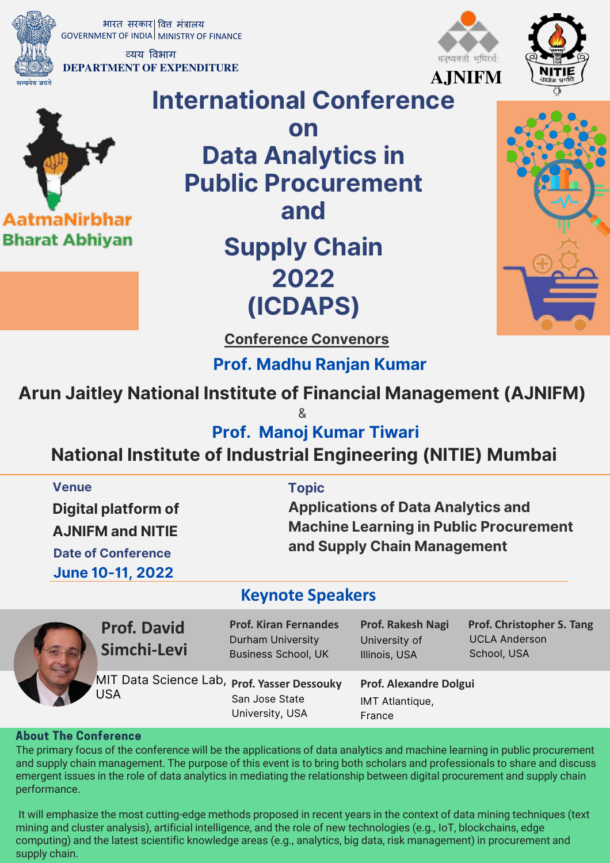भारत सरकार वित्त मंत्रालय GOVERNMENT OF INDIA MINISTRY OF FINANCE

व्यय विभाग DEPARTMENT OF **EXPENDITURE**

AatmaNirbhar **Bharat Abhiyan** 





मनुष्यवती भूमिरर्थ



on Data Analytics in Public Procurement and

# Supply Chain 2022 (ICDAPS)



Conference Convenors

Prof. Madhu Ranjan Kumar

## Arun Jaitley National Institute of Financial Management (AJNIFM)

&

Prof. Manoj Kumar Tiwari

## National Institute of Industrial Engineering (NITIE) Mumbai

| <b>Venue</b><br><b>Digital platform of</b><br><b>AJNIFM and NITIE</b><br><b>Date of Conference</b><br><b>June 10-11, 2022</b> | <b>Topic</b>                                                                           | <b>Applications of Data Analytics and</b><br><b>Machine Learning in Public Procurement</b><br>and Supply Chain Management |                                                                  |  |
|-------------------------------------------------------------------------------------------------------------------------------|----------------------------------------------------------------------------------------|---------------------------------------------------------------------------------------------------------------------------|------------------------------------------------------------------|--|
| <b>Keynote Speakers</b>                                                                                                       |                                                                                        |                                                                                                                           |                                                                  |  |
| <b>Prof. David</b><br>Simchi-Levi                                                                                             | <b>Prof. Kiran Fernandes</b><br><b>Durham University</b><br><b>Business School, UK</b> | Prof. Rakesh Nagi<br>University of<br>Illinois, USA                                                                       | Prof. Christopher S. Tang<br><b>UCLA Anderson</b><br>School, USA |  |

MIT Data Science Lab, **Prof. Yasser Dessouky** USA

San Jose State University, USA Illinois, USA

**Prof. Alexandre Dolgui** IMT Atlantique, France

#### **About The Conference**

The primary focus of the conference will be the applications of data analytics and machine learning in public procurement and supply chain management. The purpose of this event is to bring both scholars and professionals to share and discuss emergent issues in the role of data analytics in mediating the relationship between digital procurement and supply chain performance.

It will emphasize the most cutting-edge methods proposed in recent years in the context of data mining techniques (text mining and cluster analysis), artificial intelligence, and the role of new technologies (e.g., IoT, blockchains, edge computing) and the latest scientific knowledge areas (e.g., analytics, big data, risk management) in procurement and supply chain.